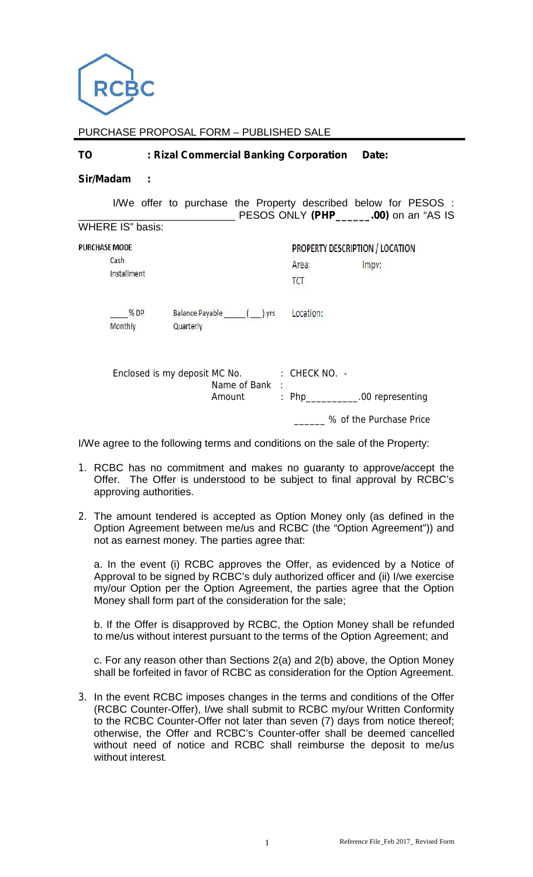

PURCHASE PROPOSAL FORM – PUBLISHED SALE

| <b>TO</b> | : Rizal Commercial Banking Corporation Date: |  |  |
|-----------|----------------------------------------------|--|--|
|-----------|----------------------------------------------|--|--|

#### **Sir/Madam :**

|                         | I/We offer to purchase the Property described below for PESOS :         |              | PESOS ONLY (PHP_______.00) on an "AS IS                        |  |  |
|-------------------------|-------------------------------------------------------------------------|--------------|----------------------------------------------------------------|--|--|
| <b>WHERE IS" basis:</b> |                                                                         |              |                                                                |  |  |
| <b>PURCHASE MODE</b>    |                                                                         |              | <b>PROPERTY DESCRIPTION / LOCATION</b>                         |  |  |
| Cash<br>Installment     |                                                                         | Area:<br>TCT | Impv:                                                          |  |  |
| %DP<br>Monthly          | Balance Payable ( ) yrs<br>Quarterly                                    | Location:    |                                                                |  |  |
|                         | Enclosed is my deposit MC No. : CHECK NO. -<br>Name of Bank :<br>Amount |              | : $Php$ ___________.00 representing<br>% of the Purchase Price |  |  |

I/We agree to the following terms and conditions on the sale of the Property:

- 1. RCBC has no commitment and makes no guaranty to approve/accept the Offer. The Offer is understood to be subject to final approval by RCBC's approving authorities.
- 2. The amount tendered is accepted as Option Money only (as defined in the Option Agreement between me/us and RCBC (the "Option Agreement")) and not as earnest money. The parties agree that:

a. In the event (i) RCBC approves the Offer, as evidenced by a Notice of Approval to be signed by RCBC's duly authorized officer and (ii) I/we exercise my/our Option per the Option Agreement, the parties agree that the Option Money shall form part of the consideration for the sale;

b. If the Offer is disapproved by RCBC, the Option Money shall be refunded to me/us without interest pursuant to the terms of the Option Agreement; and

c. For any reason other than Sections 2(a) and 2(b) above, the Option Money shall be forfeited in favor of RCBC as consideration for the Option Agreement.

3. In the event RCBC imposes changes in the terms and conditions of the Offer (RCBC Counter-Offer), I/we shall submit to RCBC my/our Written Conformity to the RCBC Counter-Offer not later than seven (7) days from notice thereof; otherwise, the Offer and RCBC's Counter-offer shall be deemed cancelled without need of notice and RCBC shall reimburse the deposit to me/us without interest.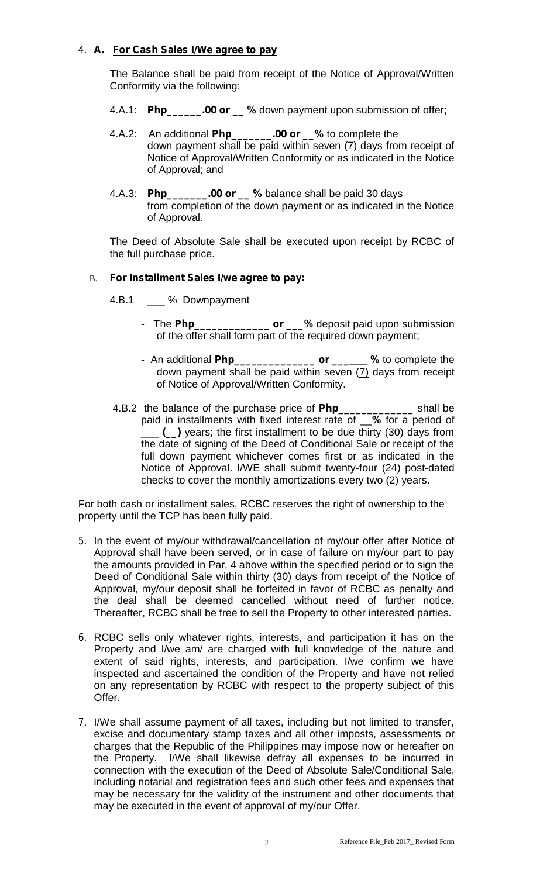# 4. **A. For Cash Sales I/We agree to pay**

The Balance shall be paid from receipt of the Notice of Approval/Written Conformity via the following:

- 4.A.1: **Php\_\_\_\_\_\_.00 or \_\_ %** down payment upon submission of offer;
- 4.A.2: An additional **Php\_\_\_\_\_\_\_.00 or \_\_%** to complete the down payment shall be paid within seven (7) days from receipt of Notice of Approval/Written Conformity or as indicated in the Notice of Approval; and
- 4.A.3: **Php\_\_\_\_\_\_\_.00 or \_\_ %** balance shall be paid 30 days from completion of the down payment or as indicated in the Notice of Approval.

The Deed of Absolute Sale shall be executed upon receipt by RCBC of the full purchase price.

## B. **For Installment Sales I/we agree to pay:**

- 4.B.1 \_\_\_ % Downpayment
	- The **Php\_\_\_\_\_\_\_\_\_\_\_\_\_ or \_\_\_%** deposit paid upon submission of the offer shall form part of the required down payment;
	- An additional **Php\_\_\_\_\_\_\_\_\_\_\_\_\_\_ or \_\_\_**\_\_\_ **%** to complete the down payment shall be paid within seven  $(7)$  days from receipt of Notice of Approval/Written Conformity.
- 4.B.2 the balance of the purchase price of **Php\_\_\_\_\_\_\_\_\_\_\_\_\_** shall be paid in installments with fixed interest rate of \_\_**%** for a period of \_\_\_ **(\_\_)** years; the first installment to be due thirty (30) days from the date of signing of the Deed of Conditional Sale or receipt of the full down payment whichever comes first or as indicated in the Notice of Approval. I/WE shall submit twenty-four (24) post-dated checks to cover the monthly amortizations every two (2) years.

For both cash or installment sales, RCBC reserves the right of ownership to the property until the TCP has been fully paid.

- 5. In the event of my/our withdrawal/cancellation of my/our offer after Notice of Approval shall have been served, or in case of failure on my/our part to pay the amounts provided in Par. 4 above within the specified period or to sign the Deed of Conditional Sale within thirty (30) days from receipt of the Notice of Approval, my/our deposit shall be forfeited in favor of RCBC as penalty and the deal shall be deemed cancelled without need of further notice. Thereafter, RCBC shall be free to sell the Property to other interested parties.
- 6. RCBC sells only whatever rights, interests, and participation it has on the Property and I/we am/ are charged with full knowledge of the nature and extent of said rights, interests, and participation. I/we confirm we have inspected and ascertained the condition of the Property and have not relied on any representation by RCBC with respect to the property subject of this Offer.
- 7. I/We shall assume payment of all taxes, including but not limited to transfer, excise and documentary stamp taxes and all other imposts, assessments or charges that the Republic of the Philippines may impose now or hereafter on the Property. I/We shall likewise defray all expenses to be incurred in connection with the execution of the Deed of Absolute Sale/Conditional Sale, including notarial and registration fees and such other fees and expenses that may be necessary for the validity of the instrument and other documents that may be executed in the event of approval of my/our Offer.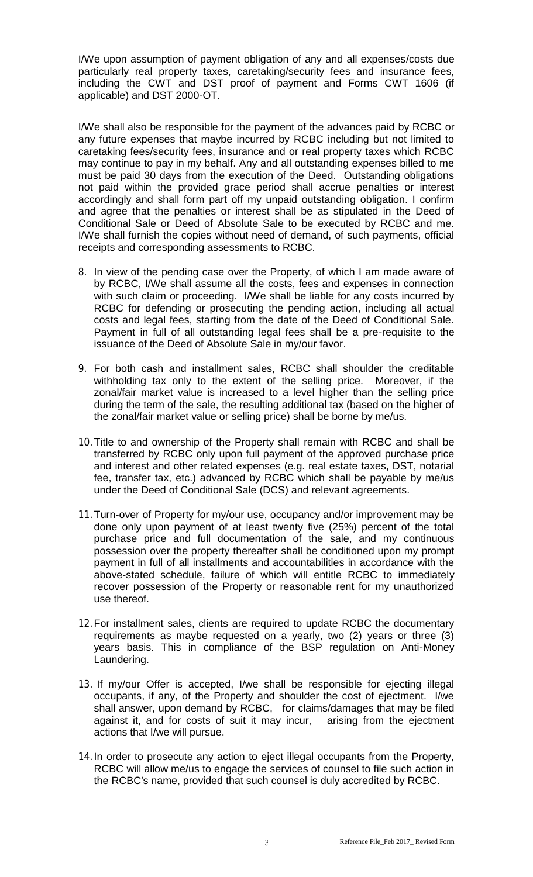I/We upon assumption of payment obligation of any and all expenses/costs due particularly real property taxes, caretaking/security fees and insurance fees, including the CWT and DST proof of payment and Forms CWT 1606 (if applicable) and DST 2000-OT.

I/We shall also be responsible for the payment of the advances paid by RCBC or any future expenses that maybe incurred by RCBC including but not limited to caretaking fees/security fees, insurance and or real property taxes which RCBC may continue to pay in my behalf. Any and all outstanding expenses billed to me must be paid 30 days from the execution of the Deed. Outstanding obligations not paid within the provided grace period shall accrue penalties or interest accordingly and shall form part off my unpaid outstanding obligation. I confirm and agree that the penalties or interest shall be as stipulated in the Deed of Conditional Sale or Deed of Absolute Sale to be executed by RCBC and me. I/We shall furnish the copies without need of demand, of such payments, official receipts and corresponding assessments to RCBC.

- 8. In view of the pending case over the Property, of which I am made aware of by RCBC, I/We shall assume all the costs, fees and expenses in connection with such claim or proceeding. I/We shall be liable for any costs incurred by RCBC for defending or prosecuting the pending action, including all actual costs and legal fees, starting from the date of the Deed of Conditional Sale. Payment in full of all outstanding legal fees shall be a pre-requisite to the issuance of the Deed of Absolute Sale in my/our favor.
- 9. For both cash and installment sales, RCBC shall shoulder the creditable withholding tax only to the extent of the selling price. Moreover, if the zonal/fair market value is increased to a level higher than the selling price during the term of the sale, the resulting additional tax (based on the higher of the zonal/fair market value or selling price) shall be borne by me/us.
- 10.Title to and ownership of the Property shall remain with RCBC and shall be transferred by RCBC only upon full payment of the approved purchase price and interest and other related expenses (e.g. real estate taxes, DST, notarial fee, transfer tax, etc.) advanced by RCBC which shall be payable by me/us under the Deed of Conditional Sale (DCS) and relevant agreements.
- 11.Turn-over of Property for my/our use, occupancy and/or improvement may be done only upon payment of at least twenty five (25%) percent of the total purchase price and full documentation of the sale, and my continuous possession over the property thereafter shall be conditioned upon my prompt payment in full of all installments and accountabilities in accordance with the above-stated schedule, failure of which will entitle RCBC to immediately recover possession of the Property or reasonable rent for my unauthorized use thereof.
- 12.For installment sales, clients are required to update RCBC the documentary requirements as maybe requested on a yearly, two (2) years or three (3) years basis. This in compliance of the BSP regulation on Anti-Money Laundering.
- 13. If my/our Offer is accepted, I/we shall be responsible for ejecting illegal occupants, if any, of the Property and shoulder the cost of ejectment. I/we shall answer, upon demand by RCBC, for claims/damages that may be filed against it, and for costs of suit it may incur, arising from the ejectment actions that I/we will pursue.
- 14.In order to prosecute any action to eject illegal occupants from the Property, RCBC will allow me/us to engage the services of counsel to file such action in the RCBC's name, provided that such counsel is duly accredited by RCBC.